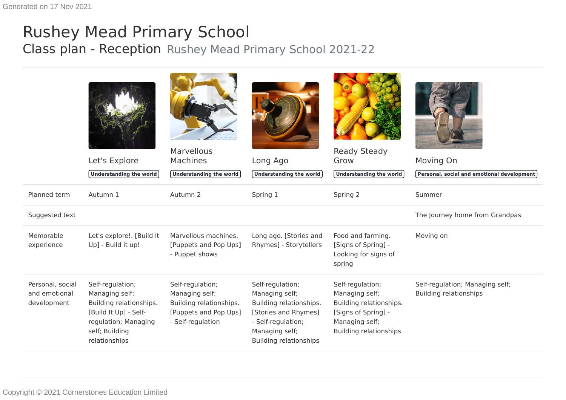## Rushey Mead Primary School Class plan - Reception Rushey Mead Primary School 2021-22

|                                                  | Let's Explore<br><b>Understanding the world</b>                                                                                                   | <b>Marvellous</b><br><b>Machines</b><br>Understanding the world                                             | Long Ago<br>Understanding the world                                                                                                                            | <b>Ready Steady</b><br>Grow<br>Understanding the world                                                                                  | Moving On<br>Personal, social and emotional development          |
|--------------------------------------------------|---------------------------------------------------------------------------------------------------------------------------------------------------|-------------------------------------------------------------------------------------------------------------|----------------------------------------------------------------------------------------------------------------------------------------------------------------|-----------------------------------------------------------------------------------------------------------------------------------------|------------------------------------------------------------------|
| Planned term                                     | Autumn 1                                                                                                                                          | Autumn 2                                                                                                    | Spring 1                                                                                                                                                       | Spring 2                                                                                                                                | Summer                                                           |
| Suggested text                                   |                                                                                                                                                   |                                                                                                             |                                                                                                                                                                |                                                                                                                                         | The Journey home from Grandpas                                   |
| Memorable<br>experience                          | Let's explore!. [Build It<br>Up] - Build it up!                                                                                                   | Marvellous machines.<br>[Puppets and Pop Ups]<br>- Puppet shows                                             | Long ago. [Stories and<br>Rhymes] - Storytellers                                                                                                               | Food and farming.<br>[Signs of Spring] -<br>Looking for signs of<br>spring                                                              | Moving on                                                        |
| Personal, social<br>and emotional<br>development | Self-regulation;<br>Managing self;<br>Building relationships.<br>[Build It Up] - Self-<br>regulation; Managing<br>self; Building<br>relationships | Self-regulation;<br>Managing self;<br>Building relationships.<br>[Puppets and Pop Ups]<br>- Self-regulation | Self-regulation;<br>Managing self;<br>Building relationships.<br>[Stories and Rhymes]<br>- Self-regulation;<br>Managing self;<br><b>Building relationships</b> | Self-regulation;<br>Managing self;<br>Building relationships.<br>[Signs of Spring] -<br>Managing self;<br><b>Building relationships</b> | Self-regulation; Managing self;<br><b>Building relationships</b> |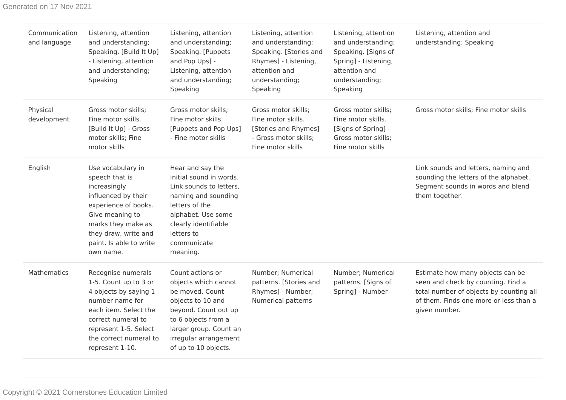| Communication<br>and language | Listening, attention<br>and understanding;<br>Speaking. [Build It Up]<br>- Listening, attention<br>and understanding;<br>Speaking                                                                            | Listening, attention<br>and understanding;<br>Speaking. [Puppets<br>and Pop Ups] -<br>Listening, attention<br>and understanding;<br>Speaking                                                               | Listening, attention<br>and understanding;<br>Speaking. [Stories and<br>Rhymes] - Listening,<br>attention and<br>understanding;<br>Speaking | Listening, attention<br>and understanding;<br>Speaking. [Signs of<br>Spring] - Listening,<br>attention and<br>understanding;<br>Speaking | Listening, attention and<br>understanding; Speaking                                                                                                                          |
|-------------------------------|--------------------------------------------------------------------------------------------------------------------------------------------------------------------------------------------------------------|------------------------------------------------------------------------------------------------------------------------------------------------------------------------------------------------------------|---------------------------------------------------------------------------------------------------------------------------------------------|------------------------------------------------------------------------------------------------------------------------------------------|------------------------------------------------------------------------------------------------------------------------------------------------------------------------------|
| Physical<br>development       | Gross motor skills;<br>Fine motor skills.<br>[Build It Up] - Gross<br>motor skills; Fine<br>motor skills                                                                                                     | Gross motor skills;<br>Fine motor skills.<br>[Puppets and Pop Ups]<br>- Fine motor skills                                                                                                                  | Gross motor skills;<br>Fine motor skills.<br>[Stories and Rhymes]<br>- Gross motor skills;<br>Fine motor skills                             | Gross motor skills;<br>Fine motor skills.<br>[Signs of Spring] -<br>Gross motor skills;<br>Fine motor skills                             | Gross motor skills; Fine motor skills                                                                                                                                        |
| English                       | Use vocabulary in<br>speech that is<br>increasingly<br>influenced by their<br>experience of books.<br>Give meaning to<br>marks they make as<br>they draw, write and<br>paint. Is able to write<br>own name.  | Hear and say the<br>initial sound in words.<br>Link sounds to letters,<br>naming and sounding<br>letters of the<br>alphabet. Use some<br>clearly identifiable<br>letters to<br>communicate<br>meaning.     |                                                                                                                                             |                                                                                                                                          | Link sounds and letters, naming and<br>sounding the letters of the alphabet.<br>Segment sounds in words and blend<br>them together.                                          |
| Mathematics                   | Recognise numerals<br>1-5. Count up to 3 or<br>4 objects by saying 1<br>number name for<br>each item. Select the<br>correct numeral to<br>represent 1-5. Select<br>the correct numeral to<br>represent 1-10. | Count actions or<br>objects which cannot<br>be moved. Count<br>objects to 10 and<br>beyond. Count out up<br>to 6 objects from a<br>larger group. Count an<br>irregular arrangement<br>of up to 10 objects. | Number; Numerical<br>patterns. [Stories and<br>Rhymes] - Number;<br>Numerical patterns                                                      | Number; Numerical<br>patterns. [Signs of<br>Spring] - Number                                                                             | Estimate how many objects can be<br>seen and check by counting. Find a<br>total number of objects by counting all<br>of them. Finds one more or less than a<br>given number. |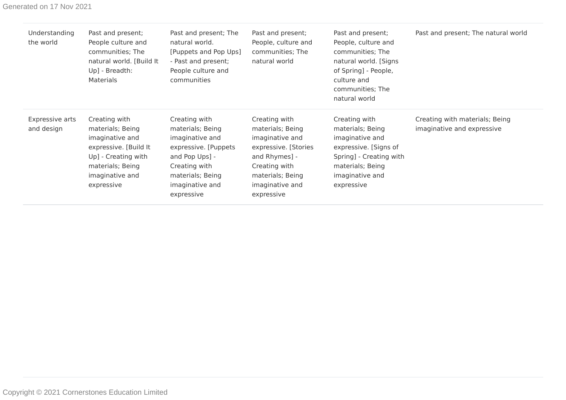| Understanding<br>the world    | Past and present;<br>People culture and<br>communities; The<br>natural world. [Build It<br>Up] - Breadth:<br>Materials                                    | Past and present; The<br>natural world.<br>[Puppets and Pop Ups]<br>- Past and present;<br>People culture and<br>communities                                         | Past and present;<br>People, culture and<br>communities; The<br>natural world                                                                                       | Past and present;<br>People, culture and<br>communities; The<br>natural world. [Signs<br>of Spring] - People,<br>culture and<br>communities; The<br>natural world | Past and present; The natural world                          |
|-------------------------------|-----------------------------------------------------------------------------------------------------------------------------------------------------------|----------------------------------------------------------------------------------------------------------------------------------------------------------------------|---------------------------------------------------------------------------------------------------------------------------------------------------------------------|-------------------------------------------------------------------------------------------------------------------------------------------------------------------|--------------------------------------------------------------|
| Expressive arts<br>and design | Creating with<br>materials; Being<br>imaginative and<br>expressive. [Build It<br>Up] - Creating with<br>materials; Being<br>imaginative and<br>expressive | Creating with<br>materials; Being<br>imaginative and<br>expressive. [Puppets<br>and Pop Ups] -<br>Creating with<br>materials; Being<br>imaginative and<br>expressive | Creating with<br>materials; Being<br>imaginative and<br>expressive. [Stories<br>and Rhymes] -<br>Creating with<br>materials; Being<br>imaginative and<br>expressive | Creating with<br>materials; Being<br>imaginative and<br>expressive. [Signs of<br>Spring] - Creating with<br>materials; Being<br>imaginative and<br>expressive     | Creating with materials; Being<br>imaginative and expressive |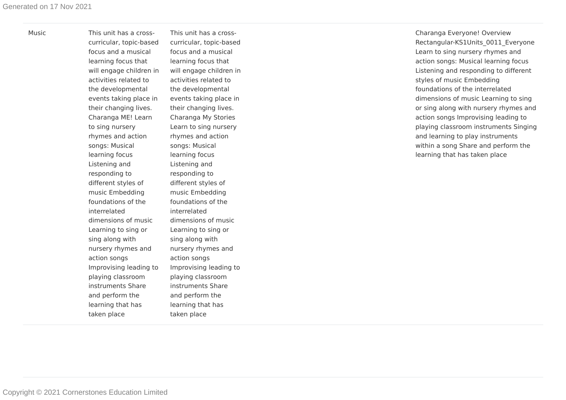Music This unit has a crosscurricular, topic-based focus and a musical learning focus that will engage children in activities related to the developmental events taking place in their changing lives. Charanga ME! Lear n to sing nursery rhymes and action songs: Musical learning focus Listening and responding to different styles of music Embedding foundations of the inter related dimensions of music Learning to sing or sing along with nursery rhymes and action songs Improvising leading to playing classroom instruments Shar e and perform the learning that has taken place

This unit has a crosscurricular, topic-based focus and a musical learning focus that will engage children in activities related to the developmental events taking place in their changing lives. Charanga My Stories Learn to sing nursery rhymes and action songs: Musical learning focus Listening and responding to different styles of music Embedding foundations of the inter related dimensions of music Learning to sing or sing along with nursery rhymes and action songs Improvising leading to playing classroom instruments Shar e and perform the learning that has taken place

Charanga Everyone! Overview Rectangular-KS1Units 0011 Everyone Learn to sing nursery rhymes and action songs: Musical learning focus Listening and responding to different styles of music Embedding foundations of the inter related dimensions of music Learning to sing or sing along with nursery rhymes and action songs Improvising leading to playing classroom instruments Singing and learning to play instruments within a song Share and perform the learning that has taken place